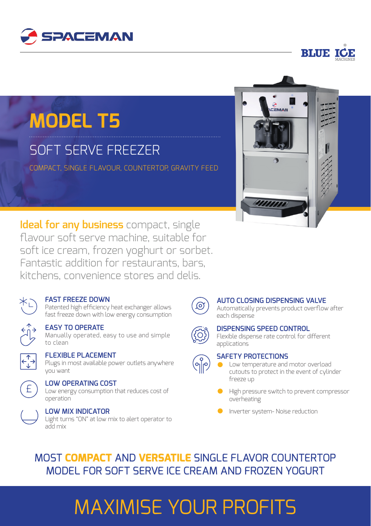



## **MODEL T5**

## SOFT SERVE FREEZER

COMPACT, SINGLE FLAVOUR, COUNTERTOP, GRAVITY FEED



**Ideal for any business** compact, single fl avour soft serve machine, suitable for soft ice cream, frozen yoghurt or sorbet. Fantastic addition for restaurants, bars, kitchens, convenience stores and delis.



#### **FAST FREEZE DOWN**

Patented high efficiency heat exchanger allows fast freeze down with low energy consumption



#### **EASY TO OPERATE**

Manually operated, easy to use and simple to clean



#### **FLEXIBLE PLACEMENT**

Plugs in most available power outlets anywhere you want



#### **LOW OPERATING COST**

Low energy consumption that reduces cost of operation



Light turns "ON" at low mix to alert operator to add mix



#### **AUTO CLOSING DISPENSING VALVE**

Automatically prevents product overflow after each dispense



#### **DISPENSING SPEED CONTROL**

Flexible dispense rate control for different applications



#### **SAFETY PROTECTIONS**

Low temperature and motor overload cutouts to protect in the event of cylinder freeze up

- High pressure switch to prevent compressor overheating
- **Inverter system- Noise reduction**

### MOST **COMPACT** AND **VERSATILE** SINGLE FLAVOR COUNTERTOP MODEL FOR SOFT SERVE ICE CREAM AND FROZEN YOGURT

# MAXIMISE YOUR PROFITS